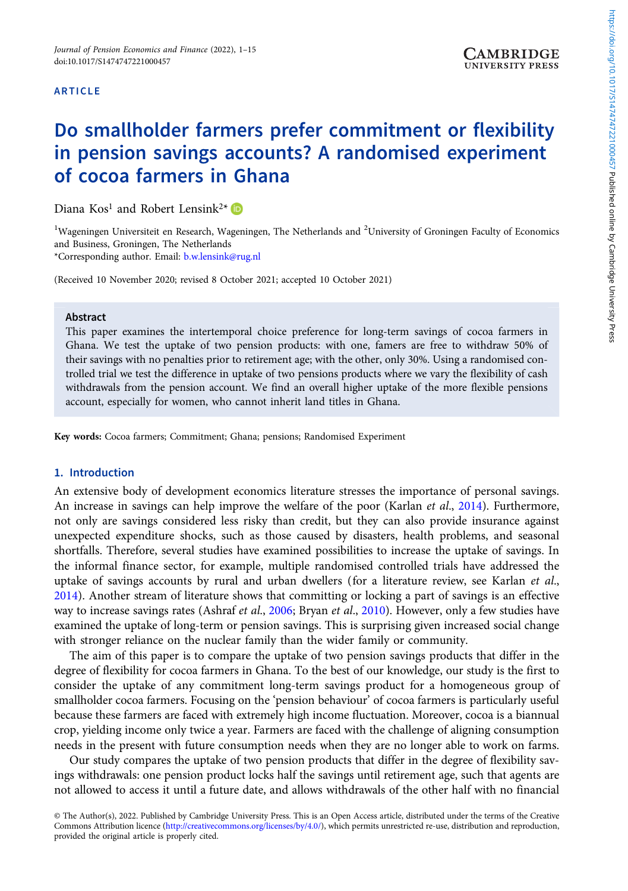## ARTICLE

# Do smallholder farmers prefer commitment or flexibility in pension savings accounts? A randomised experiment of cocoa farmers in Ghana

Diana  $Kos<sup>1</sup>$  and Robert Lensink<sup>2\*</sup>

<sup>1</sup>Wageningen Universiteit en Research, Wageningen, The Netherlands and <sup>2</sup>University of Groningen Faculty of Economics and Business, Groningen, The Netherlands

\*Corresponding author. Email: [b.w.lensink@rug.nl](mailto:b.w.lensink@rug.nl)

(Received 10 November 2020; revised 8 October 2021; accepted 10 October 2021)

## Abstract

This paper examines the intertemporal choice preference for long-term savings of cocoa farmers in Ghana. We test the uptake of two pension products: with one, famers are free to withdraw 50% of their savings with no penalties prior to retirement age; with the other, only 30%. Using a randomised controlled trial we test the difference in uptake of two pensions products where we vary the flexibility of cash withdrawals from the pension account. We find an overall higher uptake of the more flexible pensions account, especially for women, who cannot inherit land titles in Ghana.

Key words: Cocoa farmers; Commitment; Ghana; pensions; Randomised Experiment

## 1. Introduction

An extensive body of development economics literature stresses the importance of personal savings. An increase in savings can help improve the welfare of the poor (Karlan et al., [2014\)](#page-12-0). Furthermore, not only are savings considered less risky than credit, but they can also provide insurance against unexpected expenditure shocks, such as those caused by disasters, health problems, and seasonal shortfalls. Therefore, several studies have examined possibilities to increase the uptake of savings. In the informal finance sector, for example, multiple randomised controlled trials have addressed the uptake of savings accounts by rural and urban dwellers (for a literature review, see Karlan *et al.*, [2014](#page-12-0)). Another stream of literature shows that committing or locking a part of savings is an effective way to increase savings rates (Ashraf et al., [2006;](#page-12-0) Bryan et al., [2010\)](#page-12-0). However, only a few studies have examined the uptake of long-term or pension savings. This is surprising given increased social change with stronger reliance on the nuclear family than the wider family or community.

The aim of this paper is to compare the uptake of two pension savings products that differ in the degree of flexibility for cocoa farmers in Ghana. To the best of our knowledge, our study is the first to consider the uptake of any commitment long-term savings product for a homogeneous group of smallholder cocoa farmers. Focusing on the 'pension behaviour' of cocoa farmers is particularly useful because these farmers are faced with extremely high income fluctuation. Moreover, cocoa is a biannual crop, yielding income only twice a year. Farmers are faced with the challenge of aligning consumption needs in the present with future consumption needs when they are no longer able to work on farms.

Our study compares the uptake of two pension products that differ in the degree of flexibility savings withdrawals: one pension product locks half the savings until retirement age, such that agents are not allowed to access it until a future date, and allows withdrawals of the other half with no financial

<sup>©</sup> The Author(s), 2022. Published by Cambridge University Press. This is an Open Access article, distributed under the terms of the Creative Commons Attribution licence [\(http://creativecommons.org/licenses/by/4.0/](http://creativecommons.org/licenses/by/4.0/)), which permits unrestricted re-use, distribution and reproduction, provided the original article is properly cited.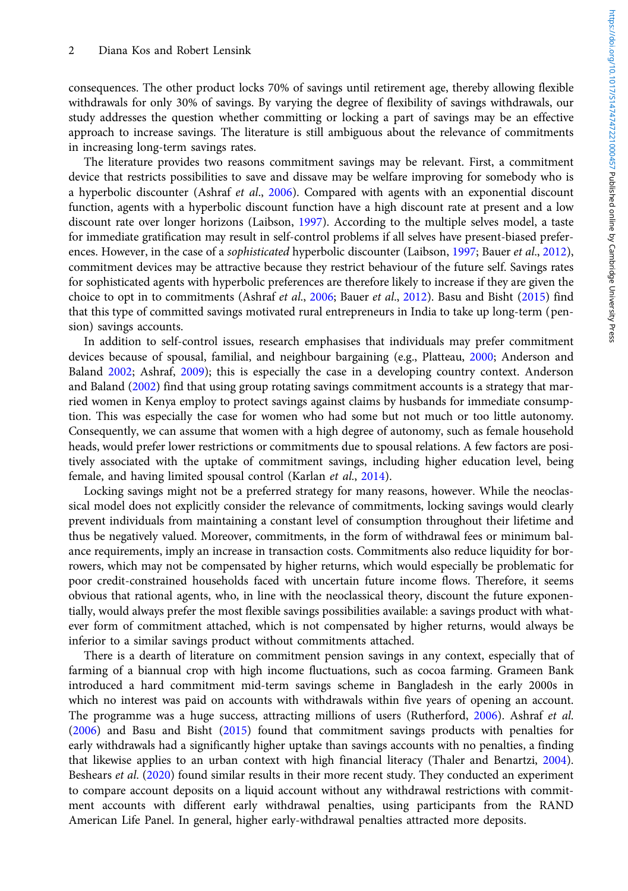consequences. The other product locks 70% of savings until retirement age, thereby allowing flexible withdrawals for only 30% of savings. By varying the degree of flexibility of savings withdrawals, our study addresses the question whether committing or locking a part of savings may be an effective approach to increase savings. The literature is still ambiguous about the relevance of commitments in increasing long-term savings rates.

The literature provides two reasons commitment savings may be relevant. First, a commitment device that restricts possibilities to save and dissave may be welfare improving for somebody who is a hyperbolic discounter (Ashraf et al., [2006\)](#page-12-0). Compared with agents with an exponential discount function, agents with a hyperbolic discount function have a high discount rate at present and a low discount rate over longer horizons (Laibson, [1997](#page-13-0)). According to the multiple selves model, a taste for immediate gratification may result in self-control problems if all selves have present-biased preferences. However, in the case of a *sophisticated* hyperbolic discounter (Laibson, [1997;](#page-13-0) Bauer *et al.*, [2012](#page-12-0)), commitment devices may be attractive because they restrict behaviour of the future self. Savings rates for sophisticated agents with hyperbolic preferences are therefore likely to increase if they are given the choice to opt in to commitments (Ashraf et al., [2006](#page-12-0); Bauer et al., [2012\)](#page-12-0). Basu and Bisht ([2015\)](#page-12-0) find that this type of committed savings motivated rural entrepreneurs in India to take up long-term (pension) savings accounts.

In addition to self-control issues, research emphasises that individuals may prefer commitment devices because of spousal, familial, and neighbour bargaining (e.g., Platteau, [2000;](#page-13-0) Anderson and Baland [2002;](#page-12-0) Ashraf, [2009\)](#page-12-0); this is especially the case in a developing country context. Anderson and Baland ([2002\)](#page-12-0) find that using group rotating savings commitment accounts is a strategy that married women in Kenya employ to protect savings against claims by husbands for immediate consumption. This was especially the case for women who had some but not much or too little autonomy. Consequently, we can assume that women with a high degree of autonomy, such as female household heads, would prefer lower restrictions or commitments due to spousal relations. A few factors are positively associated with the uptake of commitment savings, including higher education level, being female, and having limited spousal control (Karlan et al., [2014](#page-12-0)).

Locking savings might not be a preferred strategy for many reasons, however. While the neoclassical model does not explicitly consider the relevance of commitments, locking savings would clearly prevent individuals from maintaining a constant level of consumption throughout their lifetime and thus be negatively valued. Moreover, commitments, in the form of withdrawal fees or minimum balance requirements, imply an increase in transaction costs. Commitments also reduce liquidity for borrowers, which may not be compensated by higher returns, which would especially be problematic for poor credit-constrained households faced with uncertain future income flows. Therefore, it seems obvious that rational agents, who, in line with the neoclassical theory, discount the future exponentially, would always prefer the most flexible savings possibilities available: a savings product with whatever form of commitment attached, which is not compensated by higher returns, would always be inferior to a similar savings product without commitments attached.

There is a dearth of literature on commitment pension savings in any context, especially that of farming of a biannual crop with high income fluctuations, such as cocoa farming. Grameen Bank introduced a hard commitment mid-term savings scheme in Bangladesh in the early 2000s in which no interest was paid on accounts with withdrawals within five years of opening an account. The programme was a huge success, attracting millions of users (Rutherford, [2006\)](#page-13-0). Ashraf et al. [\(2006\)](#page-12-0) and Basu and Bisht [\(2015](#page-12-0)) found that commitment savings products with penalties for early withdrawals had a significantly higher uptake than savings accounts with no penalties, a finding that likewise applies to an urban context with high financial literacy (Thaler and Benartzi, [2004](#page-13-0)). Beshears et al. [\(2020\)](#page-12-0) found similar results in their more recent study. They conducted an experiment to compare account deposits on a liquid account without any withdrawal restrictions with commitment accounts with different early withdrawal penalties, using participants from the RAND American Life Panel. In general, higher early-withdrawal penalties attracted more deposits.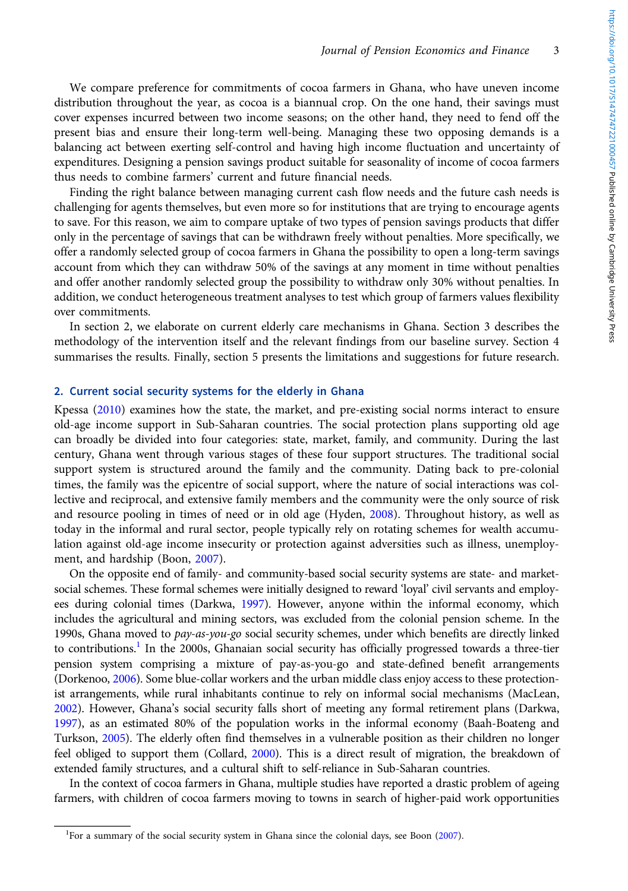We compare preference for commitments of cocoa farmers in Ghana, who have uneven income distribution throughout the year, as cocoa is a biannual crop. On the one hand, their savings must cover expenses incurred between two income seasons; on the other hand, they need to fend off the present bias and ensure their long-term well-being. Managing these two opposing demands is a balancing act between exerting self-control and having high income fluctuation and uncertainty of expenditures. Designing a pension savings product suitable for seasonality of income of cocoa farmers thus needs to combine farmers' current and future financial needs.

Finding the right balance between managing current cash flow needs and the future cash needs is challenging for agents themselves, but even more so for institutions that are trying to encourage agents to save. For this reason, we aim to compare uptake of two types of pension savings products that differ only in the percentage of savings that can be withdrawn freely without penalties. More specifically, we offer a randomly selected group of cocoa farmers in Ghana the possibility to open a long-term savings account from which they can withdraw 50% of the savings at any moment in time without penalties and offer another randomly selected group the possibility to withdraw only 30% without penalties. In addition, we conduct heterogeneous treatment analyses to test which group of farmers values flexibility over commitments.

In section 2, we elaborate on current elderly care mechanisms in Ghana. Section 3 describes the methodology of the intervention itself and the relevant findings from our baseline survey. Section 4 summarises the results. Finally, section 5 presents the limitations and suggestions for future research.

# 2. Current social security systems for the elderly in Ghana

Kpessa [\(2010](#page-13-0)) examines how the state, the market, and pre-existing social norms interact to ensure old-age income support in Sub-Saharan countries. The social protection plans supporting old age can broadly be divided into four categories: state, market, family, and community. During the last century, Ghana went through various stages of these four support structures. The traditional social support system is structured around the family and the community. Dating back to pre-colonial times, the family was the epicentre of social support, where the nature of social interactions was collective and reciprocal, and extensive family members and the community were the only source of risk and resource pooling in times of need or in old age (Hyden, [2008](#page-12-0)). Throughout history, as well as today in the informal and rural sector, people typically rely on rotating schemes for wealth accumulation against old-age income insecurity or protection against adversities such as illness, unemployment, and hardship (Boon, [2007\)](#page-12-0).

On the opposite end of family- and community-based social security systems are state- and marketsocial schemes. These formal schemes were initially designed to reward 'loyal' civil servants and employees during colonial times (Darkwa, [1997\)](#page-12-0). However, anyone within the informal economy, which includes the agricultural and mining sectors, was excluded from the colonial pension scheme. In the 1990s, Ghana moved to pay-as-you-go social security schemes, under which benefits are directly linked to contributions.<sup>1</sup> In the 2000s, Ghanaian social security has officially progressed towards a three-tier pension system comprising a mixture of pay-as-you-go and state-defined benefit arrangements (Dorkenoo, [2006\)](#page-12-0). Some blue-collar workers and the urban middle class enjoy access to these protectionist arrangements, while rural inhabitants continue to rely on informal social mechanisms (MacLean, [2002\)](#page-13-0). However, Ghana's social security falls short of meeting any formal retirement plans (Darkwa, [1997\)](#page-12-0), as an estimated 80% of the population works in the informal economy (Baah-Boateng and Turkson, [2005](#page-12-0)). The elderly often find themselves in a vulnerable position as their children no longer feel obliged to support them (Collard, [2000](#page-12-0)). This is a direct result of migration, the breakdown of extended family structures, and a cultural shift to self-reliance in Sub-Saharan countries.

In the context of cocoa farmers in Ghana, multiple studies have reported a drastic problem of ageing farmers, with children of cocoa farmers moving to towns in search of higher-paid work opportunities

<sup>&</sup>lt;sup>1</sup>For a summary of the social security system in Ghana since the colonial days, see Boon ([2007\)](#page-12-0).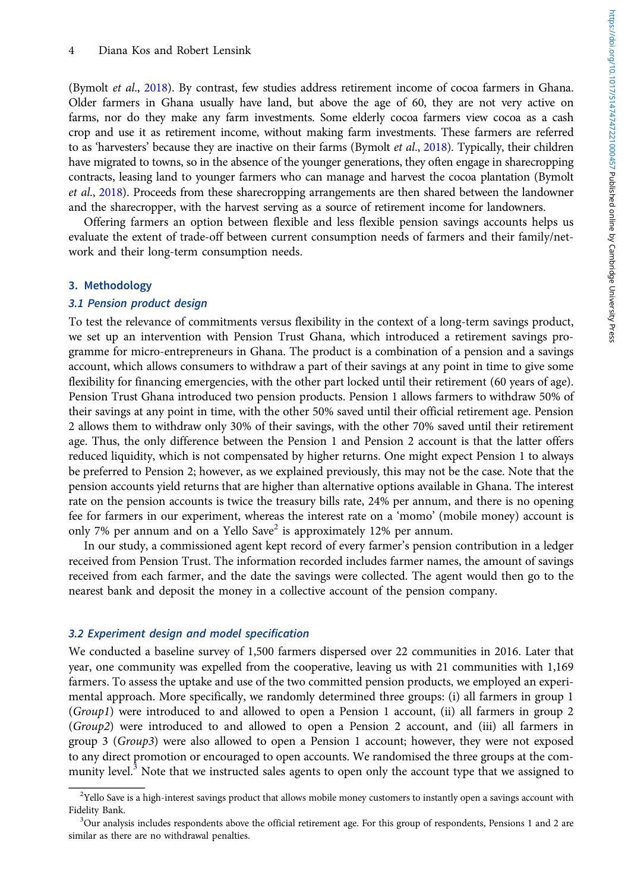(Bymolt et al., [2018\)](#page-12-0). By contrast, few studies address retirement income of cocoa farmers in Ghana. Older farmers in Ghana usually have land, but above the age of 60, they are not very active on farms, nor do they make any farm investments. Some elderly cocoa farmers view cocoa as a cash crop and use it as retirement income, without making farm investments. These farmers are referred to as 'harvesters' because they are inactive on their farms (Bymolt et al., [2018](#page-12-0)). Typically, their children have migrated to towns, so in the absence of the younger generations, they often engage in sharecropping contracts, leasing land to younger farmers who can manage and harvest the cocoa plantation (Bymolt et al., [2018](#page-12-0)). Proceeds from these sharecropping arrangements are then shared between the landowner and the sharecropper, with the harvest serving as a source of retirement income for landowners.

Offering farmers an option between flexible and less flexible pension savings accounts helps us evaluate the extent of trade-off between current consumption needs of farmers and their family/network and their long-term consumption needs.

## 3. Methodology

# 3.1 Pension product design

To test the relevance of commitments versus flexibility in the context of a long-term savings product, we set up an intervention with Pension Trust Ghana, which introduced a retirement savings programme for micro-entrepreneurs in Ghana. The product is a combination of a pension and a savings account, which allows consumers to withdraw a part of their savings at any point in time to give some flexibility for financing emergencies, with the other part locked until their retirement (60 years of age). Pension Trust Ghana introduced two pension products. Pension 1 allows farmers to withdraw 50% of their savings at any point in time, with the other 50% saved until their official retirement age. Pension 2 allows them to withdraw only 30% of their savings, with the other 70% saved until their retirement age. Thus, the only difference between the Pension 1 and Pension 2 account is that the latter offers reduced liquidity, which is not compensated by higher returns. One might expect Pension 1 to always be preferred to Pension 2; however, as we explained previously, this may not be the case. Note that the pension accounts yield returns that are higher than alternative options available in Ghana. The interest rate on the pension accounts is twice the treasury bills rate, 24% per annum, and there is no opening fee for farmers in our experiment, whereas the interest rate on a 'momo' (mobile money) account is only 7% per annum and on a Yello Save<sup>2</sup> is approximately 12% per annum.

In our study, a commissioned agent kept record of every farmer's pension contribution in a ledger received from Pension Trust. The information recorded includes farmer names, the amount of savings received from each farmer, and the date the savings were collected. The agent would then go to the nearest bank and deposit the money in a collective account of the pension company.

## 3.2 Experiment design and model specification

We conducted a baseline survey of 1,500 farmers dispersed over 22 communities in 2016. Later that year, one community was expelled from the cooperative, leaving us with 21 communities with 1,169 farmers. To assess the uptake and use of the two committed pension products, we employed an experimental approach. More specifically, we randomly determined three groups: (i) all farmers in group 1 (Group1) were introduced to and allowed to open a Pension 1 account, (ii) all farmers in group 2 (Group2) were introduced to and allowed to open a Pension 2 account, and (iii) all farmers in group 3 (Group3) were also allowed to open a Pension 1 account; however, they were not exposed to any direct promotion or encouraged to open accounts. We randomised the three groups at the community level.<sup>3</sup> Note that we instructed sales agents to open only the account type that we assigned to

<sup>&</sup>lt;sup>2</sup>Yello Save is a high-interest savings product that allows mobile money customers to instantly open a savings account with Fidelity Bank.

<sup>&</sup>lt;sup>3</sup>Our analysis includes respondents above the official retirement age. For this group of respondents, Pensions 1 and 2 are similar as there are no withdrawal penalties.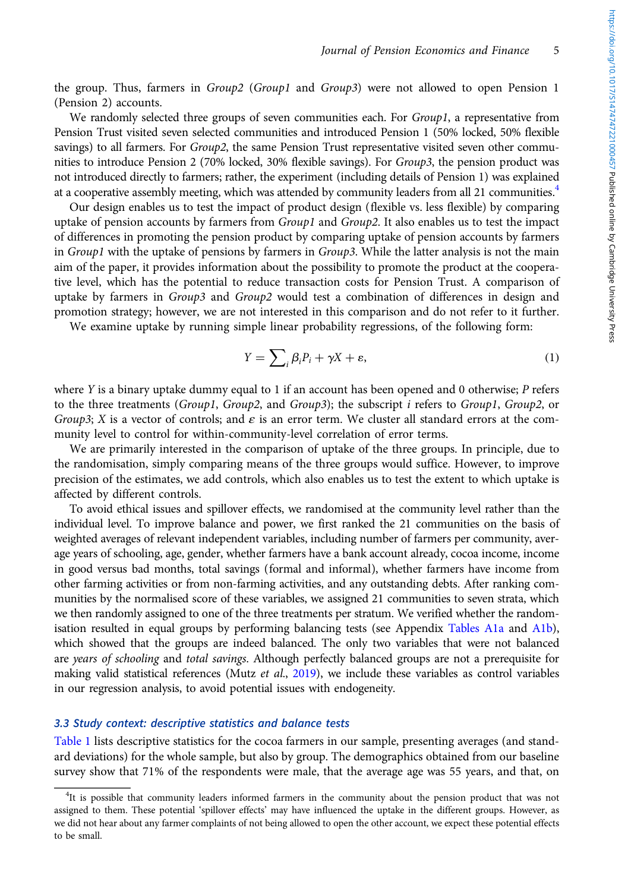the group. Thus, farmers in Group2 (Group1 and Group3) were not allowed to open Pension 1 (Pension 2) accounts.

We randomly selected three groups of seven communities each. For  $Group1$ , a representative from Pension Trust visited seven selected communities and introduced Pension 1 (50% locked, 50% flexible savings) to all farmers. For Group2, the same Pension Trust representative visited seven other communities to introduce Pension 2 (70% locked, 30% flexible savings). For Group3, the pension product was not introduced directly to farmers; rather, the experiment (including details of Pension 1) was explained at a cooperative assembly meeting, which was attended by community leaders from all 21 communities.<sup>4</sup>

Our design enables us to test the impact of product design (flexible vs. less flexible) by comparing uptake of pension accounts by farmers from  $Group1$  and  $Group2$ . It also enables us to test the impact of differences in promoting the pension product by comparing uptake of pension accounts by farmers in Group1 with the uptake of pensions by farmers in Group3. While the latter analysis is not the main aim of the paper, it provides information about the possibility to promote the product at the cooperative level, which has the potential to reduce transaction costs for Pension Trust. A comparison of uptake by farmers in  $Group3$  and  $Group2$  would test a combination of differences in design and promotion strategy; however, we are not interested in this comparison and do not refer to it further.

We examine uptake by running simple linear probability regressions, of the following form:

$$
Y = \sum_{i} \beta_i P_i + \gamma X + \varepsilon,\tag{1}
$$

where Y is a binary uptake dummy equal to 1 if an account has been opened and 0 otherwise;  $P$  refers to the three treatments (Group1, Group2, and Group3); the subscript *i* refers to Group1, Group2, or Group3; X is a vector of controls; and  $\varepsilon$  is an error term. We cluster all standard errors at the community level to control for within-community-level correlation of error terms.

We are primarily interested in the comparison of uptake of the three groups. In principle, due to the randomisation, simply comparing means of the three groups would suffice. However, to improve precision of the estimates, we add controls, which also enables us to test the extent to which uptake is affected by different controls.

To avoid ethical issues and spillover effects, we randomised at the community level rather than the individual level. To improve balance and power, we first ranked the 21 communities on the basis of weighted averages of relevant independent variables, including number of farmers per community, average years of schooling, age, gender, whether farmers have a bank account already, cocoa income, income in good versus bad months, total savings (formal and informal), whether farmers have income from other farming activities or from non-farming activities, and any outstanding debts. After ranking communities by the normalised score of these variables, we assigned 21 communities to seven strata, which we then randomly assigned to one of the three treatments per stratum. We verified whether the random-isation resulted in equal groups by performing balancing tests (see Appendix [Tables A1a](#page-13-0) and [A1b\)](#page-14-0), which showed that the groups are indeed balanced. The only two variables that were not balanced are years of schooling and total savings. Although perfectly balanced groups are not a prerequisite for making valid statistical references (Mutz et al., [2019](#page-13-0)), we include these variables as control variables in our regression analysis, to avoid potential issues with endogeneity.

# 3.3 Study context: descriptive statistics and balance tests

[Table 1](#page-5-0) lists descriptive statistics for the cocoa farmers in our sample, presenting averages (and standard deviations) for the whole sample, but also by group. The demographics obtained from our baseline survey show that 71% of the respondents were male, that the average age was 55 years, and that, on

<sup>&</sup>lt;sup>4</sup>It is possible that community leaders informed farmers in the community about the pension product that was not assigned to them. These potential 'spillover effects' may have influenced the uptake in the different groups. However, as we did not hear about any farmer complaints of not being allowed to open the other account, we expect these potential effects to be small.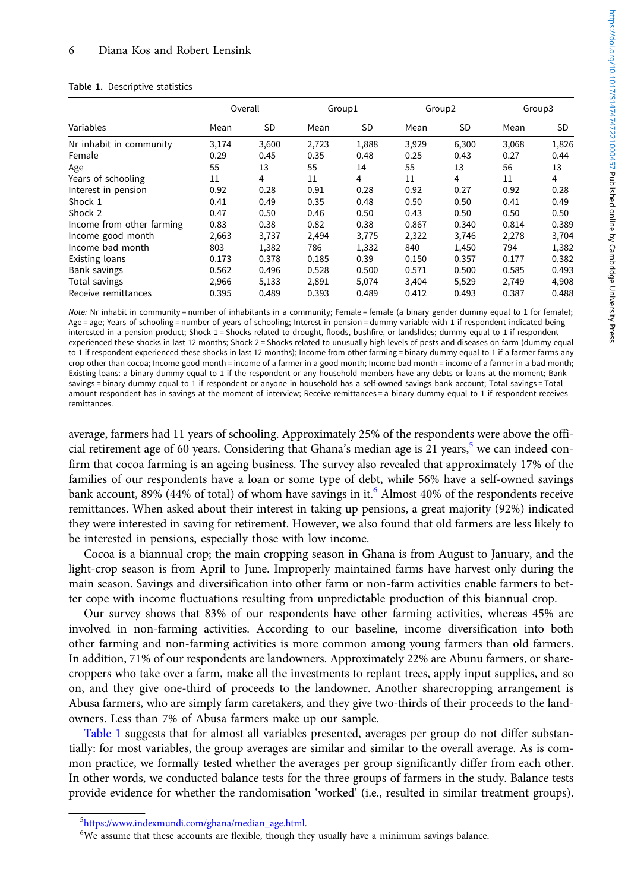#### <span id="page-5-0"></span>Table 1. Descriptive statistics

|                           |       | Overall | Group1<br>Group <sub>2</sub> |           |       | Group3    |       |           |
|---------------------------|-------|---------|------------------------------|-----------|-------|-----------|-------|-----------|
| Variables                 | Mean  | SD      | Mean                         | <b>SD</b> | Mean  | <b>SD</b> | Mean  | <b>SD</b> |
| Nr inhabit in community   | 3,174 | 3,600   | 2,723                        | 1,888     | 3,929 | 6,300     | 3,068 | 1,826     |
| Female                    | 0.29  | 0.45    | 0.35                         | 0.48      | 0.25  | 0.43      | 0.27  | 0.44      |
| Age                       | 55    | 13      | 55                           | 14        | 55    | 13        | 56    | 13        |
| Years of schooling        | 11    | 4       | 11                           | 4         | 11    | 4         | 11    | 4         |
| Interest in pension       | 0.92  | 0.28    | 0.91                         | 0.28      | 0.92  | 0.27      | 0.92  | 0.28      |
| Shock 1                   | 0.41  | 0.49    | 0.35                         | 0.48      | 0.50  | 0.50      | 0.41  | 0.49      |
| Shock 2                   | 0.47  | 0.50    | 0.46                         | 0.50      | 0.43  | 0.50      | 0.50  | 0.50      |
| Income from other farming | 0.83  | 0.38    | 0.82                         | 0.38      | 0.867 | 0.340     | 0.814 | 0.389     |
| Income good month         | 2,663 | 3,737   | 2,494                        | 3,775     | 2,322 | 3,746     | 2,278 | 3,704     |
| Income bad month          | 803   | 1,382   | 786                          | 1,332     | 840   | 1,450     | 794   | 1,382     |
| Existing loans            | 0.173 | 0.378   | 0.185                        | 0.39      | 0.150 | 0.357     | 0.177 | 0.382     |
| Bank savings              | 0.562 | 0.496   | 0.528                        | 0.500     | 0.571 | 0.500     | 0.585 | 0.493     |
| Total savings             | 2,966 | 5,133   | 2,891                        | 5,074     | 3,404 | 5,529     | 2,749 | 4,908     |
| Receive remittances       | 0.395 | 0.489   | 0.393                        | 0.489     | 0.412 | 0.493     | 0.387 | 0.488     |

Note: Nr inhabit in community = number of inhabitants in a community; Female = female (a binary gender dummy equal to 1 for female); Age = age; Years of schooling = number of years of schooling; Interest in pension = dummy variable with 1 if respondent indicated being interested in a pension product; Shock 1 = Shocks related to drought, floods, bushfire, or landslides; dummy equal to 1 if respondent experienced these shocks in last 12 months; Shock 2 = Shocks related to unusually high levels of pests and diseases on farm (dummy equal to 1 if respondent experienced these shocks in last 12 months); Income from other farming = binary dummy equal to 1 if a farmer farms any crop other than cocoa; Income good month = income of a farmer in a good month; Income bad month = income of a farmer in a bad month; Existing loans: a binary dummy equal to 1 if the respondent or any household members have any debts or loans at the moment; Bank savings = binary dummy equal to 1 if respondent or anyone in household has a self-owned savings bank account; Total savings = Total amount respondent has in savings at the moment of interview; Receive remittances = a binary dummy equal to 1 if respondent receives remittances.

average, farmers had 11 years of schooling. Approximately 25% of the respondents were above the official retirement age of 60 years. Considering that Ghana's median age is 21 years,  $5$  we can indeed confirm that cocoa farming is an ageing business. The survey also revealed that approximately 17% of the families of our respondents have a loan or some type of debt, while 56% have a self-owned savings bank account, 89% (44% of total) of whom have savings in it.<sup>6</sup> Almost 40% of the respondents receive remittances. When asked about their interest in taking up pensions, a great majority (92%) indicated they were interested in saving for retirement. However, we also found that old farmers are less likely to be interested in pensions, especially those with low income.

Cocoa is a biannual crop; the main cropping season in Ghana is from August to January, and the light-crop season is from April to June. Improperly maintained farms have harvest only during the main season. Savings and diversification into other farm or non-farm activities enable farmers to better cope with income fluctuations resulting from unpredictable production of this biannual crop.

Our survey shows that 83% of our respondents have other farming activities, whereas 45% are involved in non-farming activities. According to our baseline, income diversification into both other farming and non-farming activities is more common among young farmers than old farmers. In addition, 71% of our respondents are landowners. Approximately 22% are Abunu farmers, or sharecroppers who take over a farm, make all the investments to replant trees, apply input supplies, and so on, and they give one-third of proceeds to the landowner. Another sharecropping arrangement is Abusa farmers, who are simply farm caretakers, and they give two-thirds of their proceeds to the landowners. Less than 7% of Abusa farmers make up our sample.

Table 1 suggests that for almost all variables presented, averages per group do not differ substantially: for most variables, the group averages are similar and similar to the overall average. As is common practice, we formally tested whether the averages per group significantly differ from each other. In other words, we conducted balance tests for the three groups of farmers in the study. Balance tests provide evidence for whether the randomisation 'worked' (i.e., resulted in similar treatment groups).

 ${}^{5}$ [https://www.indexmundi.com/ghana/median\\_age.html](https://www.indexmundi.com/ghana/median_age.html).<br> ${}^{6}$ We assume that these accounts are flexible, though th

<sup>&</sup>lt;sup>6</sup>We assume that these accounts are flexible, though they usually have a minimum savings balance.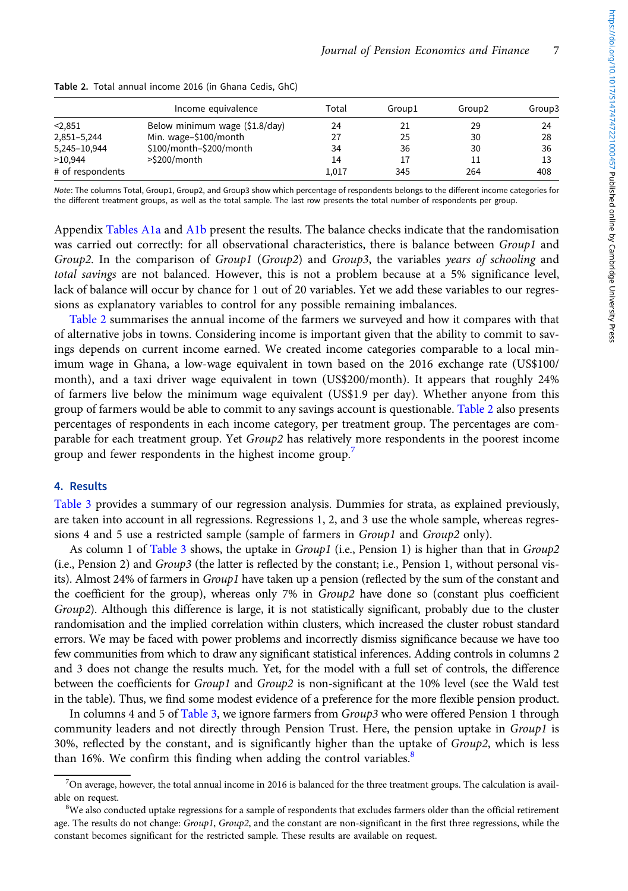|                  | Income equivalence             | Total | Group1 | Group <sub>2</sub> | Group3 |
|------------------|--------------------------------|-------|--------|--------------------|--------|
| < 2.851          | Below minimum wage (\$1.8/day) | 24    | 21     | 29                 | 24     |
| 2,851-5,244      | Min. wage-\$100/month          | 27    | 25     | 30                 | 28     |
| 5,245-10,944     | \$100/month-\$200/month        | 34    | 36     | 30                 | 36     |
| >10.944          | >\$200/month                   | 14    | 17     |                    |        |
| # of respondents |                                | 1.017 | 345    | 264                | 408    |
|                  |                                |       |        |                    |        |

Table 2. Total annual income 2016 (in Ghana Cedis, GhC)

Note: The columns Total, Group1, Group2, and Group3 show which percentage of respondents belongs to the different income categories for the different treatment groups, as well as the total sample. The last row presents the total number of respondents per group.

Appendix [Tables A1a](#page-13-0) and [A1b](#page-14-0) present the results. The balance checks indicate that the randomisation was carried out correctly: for all observational characteristics, there is balance between Group1 and Group2. In the comparison of Group1 (Group2) and Group3, the variables years of schooling and total savings are not balanced. However, this is not a problem because at a 5% significance level, lack of balance will occur by chance for 1 out of 20 variables. Yet we add these variables to our regressions as explanatory variables to control for any possible remaining imbalances.

Table 2 summarises the annual income of the farmers we surveyed and how it compares with that of alternative jobs in towns. Considering income is important given that the ability to commit to savings depends on current income earned. We created income categories comparable to a local minimum wage in Ghana, a low-wage equivalent in town based on the 2016 exchange rate (US\$100/ month), and a taxi driver wage equivalent in town (US\$200/month). It appears that roughly 24% of farmers live below the minimum wage equivalent (US\$1.9 per day). Whether anyone from this group of farmers would be able to commit to any savings account is questionable. Table 2 also presents percentages of respondents in each income category, per treatment group. The percentages are comparable for each treatment group. Yet Group2 has relatively more respondents in the poorest income group and fewer respondents in the highest income group.<sup>7</sup>

# 4. Results

[Table 3](#page-7-0) provides a summary of our regression analysis. Dummies for strata, as explained previously, are taken into account in all regressions. Regressions 1, 2, and 3 use the whole sample, whereas regressions 4 and 5 use a restricted sample (sample of farmers in *Group1* and *Group2* only).

As column 1 of [Table 3](#page-7-0) shows, the uptake in Group1 (i.e., Pension 1) is higher than that in Group2 (i.e., Pension 2) and Group3 (the latter is reflected by the constant; i.e., Pension 1, without personal visits). Almost 24% of farmers in Group1 have taken up a pension (reflected by the sum of the constant and the coefficient for the group), whereas only 7% in Group2 have done so (constant plus coefficient Group2). Although this difference is large, it is not statistically significant, probably due to the cluster randomisation and the implied correlation within clusters, which increased the cluster robust standard errors. We may be faced with power problems and incorrectly dismiss significance because we have too few communities from which to draw any significant statistical inferences. Adding controls in columns 2 and 3 does not change the results much. Yet, for the model with a full set of controls, the difference between the coefficients for Group1 and Group2 is non-significant at the 10% level (see the Wald test in the table). Thus, we find some modest evidence of a preference for the more flexible pension product.

In columns 4 and 5 of [Table 3](#page-7-0), we ignore farmers from  $Group3$  who were offered Pension 1 through community leaders and not directly through Pension Trust. Here, the pension uptake in Group1 is 30%, reflected by the constant, and is significantly higher than the uptake of  $Group2$ , which is less than 16%. We confirm this finding when adding the control variables.<sup>8</sup>

<sup>7</sup> On average, however, the total annual income in 2016 is balanced for the three treatment groups. The calculation is available on request.

 ${}^{8}$ We also conducted uptake regressions for a sample of respondents that excludes farmers older than the official retirement age. The results do not change: Group1, Group2, and the constant are non-significant in the first three regressions, while the constant becomes significant for the restricted sample. These results are available on request.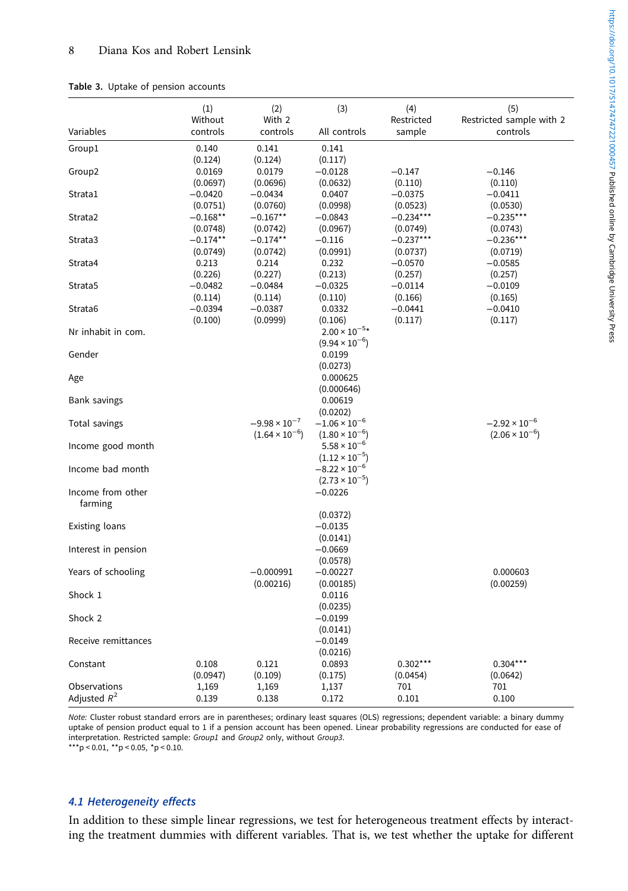## <span id="page-7-0"></span>Table 3. Uptake of pension accounts

|                                | (1)                           | (2)                                               | (3)                                               | (4)                     | (5)                                               |
|--------------------------------|-------------------------------|---------------------------------------------------|---------------------------------------------------|-------------------------|---------------------------------------------------|
| Variables                      | Without<br>controls           | With 2<br>controls                                | All controls                                      | Restricted<br>sample    | Restricted sample with 2<br>controls              |
| Group1                         | 0.140                         | 0.141                                             | 0.141                                             |                         |                                                   |
| Group2                         | (0.124)<br>0.0169<br>(0.0697) | (0.124)<br>0.0179<br>(0.0696)                     | (0.117)<br>$-0.0128$<br>(0.0632)                  | $-0.147$<br>(0.110)     | $-0.146$<br>(0.110)                               |
| Strata1                        | $-0.0420$<br>(0.0751)         | $-0.0434$<br>(0.0760)                             | 0.0407<br>(0.0998)                                | $-0.0375$<br>(0.0523)   | $-0.0411$<br>(0.0530)                             |
| Strata2                        | $-0.168**$<br>(0.0748)        | $-0.167**$<br>(0.0742)                            | $-0.0843$<br>(0.0967)                             | $-0.234***$<br>(0.0749) | $-0.235***$<br>(0.0743)                           |
| Strata3                        | $-0.174**$<br>(0.0749)        | $-0.174**$<br>(0.0742)                            | $-0.116$<br>(0.0991)                              | $-0.237***$<br>(0.0737) | $-0.236***$<br>(0.0719)                           |
| Strata4                        | 0.213<br>(0.226)              | 0.214<br>(0.227)                                  | 0.232<br>(0.213)                                  | $-0.0570$<br>(0.257)    | $-0.0585$<br>(0.257)                              |
| Strata5                        | $-0.0482$<br>(0.114)          | $-0.0484$<br>(0.114)                              | $-0.0325$<br>(0.110)                              | $-0.0114$<br>(0.166)    | $-0.0109$<br>(0.165)                              |
| Strata6                        | $-0.0394$<br>(0.100)          | $-0.0387$<br>(0.0999)                             | 0.0332<br>(0.106)                                 | $-0.0441$<br>(0.117)    | $-0.0410$<br>(0.117)                              |
| Nr inhabit in com.             |                               |                                                   | $2.00 \times 10^{-5*}$<br>$(9.94 \times 10^{-6})$ |                         |                                                   |
| Gender                         |                               |                                                   | 0.0199<br>(0.0273)                                |                         |                                                   |
| Age                            |                               |                                                   | 0.000625<br>(0.000646)                            |                         |                                                   |
| Bank savings                   |                               |                                                   | 0.00619<br>(0.0202)                               |                         |                                                   |
| Total savings                  |                               | $-9.98 \times 10^{-7}$<br>$(1.64 \times 10^{-6})$ | $-1.06 \times 10^{-6}$<br>$(1.80 \times 10^{-6})$ |                         | $-2.92 \times 10^{-6}$<br>$(2.06 \times 10^{-6})$ |
| Income good month              |                               |                                                   | $5.58 \times 10^{-6}$<br>$(1.12 \times 10^{-5})$  |                         |                                                   |
| Income bad month               |                               |                                                   | $-8.22 \times 10^{-6}$<br>$(2.73 \times 10^{-5})$ |                         |                                                   |
| Income from other<br>farming   |                               |                                                   | $-0.0226$                                         |                         |                                                   |
| <b>Existing loans</b>          |                               |                                                   | (0.0372)<br>$-0.0135$<br>(0.0141)                 |                         |                                                   |
| Interest in pension            |                               |                                                   | $-0.0669$<br>(0.0578)                             |                         |                                                   |
| Years of schooling             |                               | $-0.000991$<br>(0.00216)                          | $-0.00227$<br>(0.00185)                           |                         | 0.000603<br>(0.00259)                             |
| Shock 1                        |                               |                                                   | 0.0116<br>(0.0235)                                |                         |                                                   |
| Shock 2                        |                               |                                                   | $-0.0199$<br>(0.0141)                             |                         |                                                   |
| Receive remittances            |                               |                                                   | $-0.0149$<br>(0.0216)                             |                         |                                                   |
| Constant                       | 0.108<br>(0.0947)             | 0.121<br>(0.109)                                  | 0.0893<br>(0.175)                                 | $0.302***$<br>(0.0454)  | $0.304***$<br>(0.0642)                            |
| Observations<br>Adjusted $R^2$ | 1,169<br>0.139                | 1,169<br>0.138                                    | 1,137<br>0.172                                    | 701<br>0.101            | 701<br>0.100                                      |

Note: Cluster robust standard errors are in parentheses; ordinary least squares (OLS) regressions; dependent variable: a binary dummy uptake of pension product equal to 1 if a pension account has been opened. Linear probability regressions are conducted for ease of interpretation. Restricted sample: Group1 and Group2 only, without Group3.

\*\*\*p < 0.01, \*\*p < 0.05, \*p < 0.10.

# 4.1 Heterogeneity effects

In addition to these simple linear regressions, we test for heterogeneous treatment effects by interacting the treatment dummies with different variables. That is, we test whether the uptake for different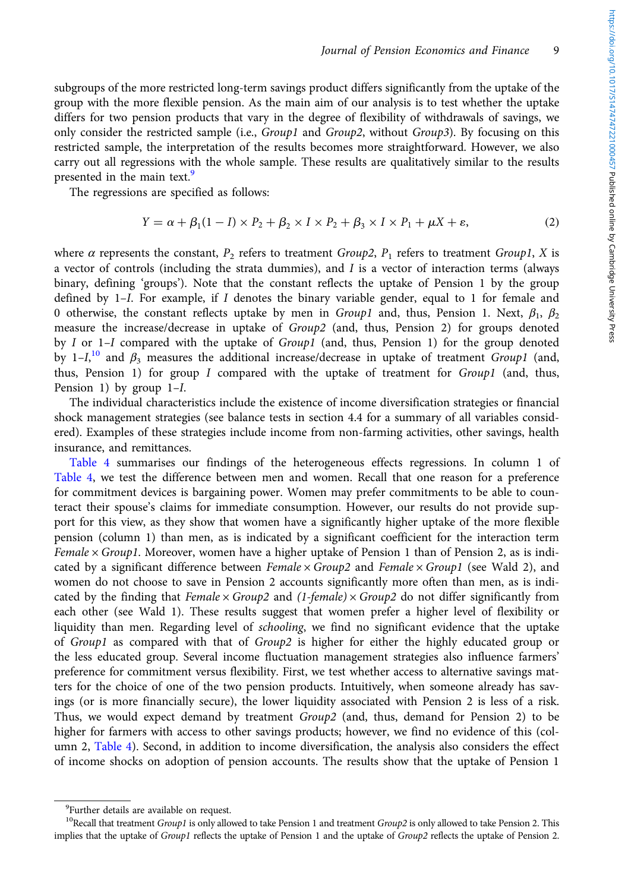subgroups of the more restricted long-term savings product differs significantly from the uptake of the group with the more flexible pension. As the main aim of our analysis is to test whether the uptake differs for two pension products that vary in the degree of flexibility of withdrawals of savings, we only consider the restricted sample (i.e., *Group1* and *Group2*, without *Group3*). By focusing on this restricted sample, the interpretation of the results becomes more straightforward. However, we also carry out all regressions with the whole sample. These results are qualitatively similar to the results presented in the main text.<sup>9</sup>

The regressions are specified as follows:

$$
Y = \alpha + \beta_1 (1 - I) \times P_2 + \beta_2 \times I \times P_2 + \beta_3 \times I \times P_1 + \mu X + \varepsilon,
$$
\n(2)

where  $\alpha$  represents the constant,  $P_2$  refers to treatment Group2,  $P_1$  refers to treatment Group1, X is a vector of controls (including the strata dummies), and  $I$  is a vector of interaction terms (always binary, defining 'groups'). Note that the constant reflects the uptake of Pension 1 by the group defined by  $1-I$ . For example, if I denotes the binary variable gender, equal to 1 for female and 0 otherwise, the constant reflects uptake by men in  $Group1$  and, thus, Pension 1. Next,  $\beta_1$ ,  $\beta_2$ measure the increase/decrease in uptake of Group2 (and, thus, Pension 2) for groups denoted by I or 1–I compared with the uptake of Group1 (and, thus, Pension 1) for the group denoted by  $1 - I$ ,<sup>10</sup> and  $\beta_3$  measures the additional increase/decrease in uptake of treatment *Group1* (and, thus, Pension 1) for group  $I$  compared with the uptake of treatment for  $Group1$  (and, thus, Pension 1) by group  $1-I$ .

The individual characteristics include the existence of income diversification strategies or financial shock management strategies (see balance tests in section 4.4 for a summary of all variables considered). Examples of these strategies include income from non-farming activities, other savings, health insurance, and remittances.

[Table 4](#page-9-0) summarises our findings of the heterogeneous effects regressions. In column 1 of [Table 4,](#page-9-0) we test the difference between men and women. Recall that one reason for a preference for commitment devices is bargaining power. Women may prefer commitments to be able to counteract their spouse's claims for immediate consumption. However, our results do not provide support for this view, as they show that women have a significantly higher uptake of the more flexible pension (column 1) than men, as is indicated by a significant coefficient for the interaction term Female  $\times$  Group1. Moreover, women have a higher uptake of Pension 1 than of Pension 2, as is indicated by a significant difference between Female  $\times$  Group2 and Female  $\times$  Group1 (see Wald 2), and women do not choose to save in Pension 2 accounts significantly more often than men, as is indicated by the finding that Female  $\times$  Group2 and (1-female)  $\times$  Group2 do not differ significantly from each other (see Wald 1). These results suggest that women prefer a higher level of flexibility or liquidity than men. Regarding level of schooling, we find no significant evidence that the uptake of Group1 as compared with that of Group2 is higher for either the highly educated group or the less educated group. Several income fluctuation management strategies also influence farmers' preference for commitment versus flexibility. First, we test whether access to alternative savings matters for the choice of one of the two pension products. Intuitively, when someone already has savings (or is more financially secure), the lower liquidity associated with Pension 2 is less of a risk. Thus, we would expect demand by treatment Group2 (and, thus, demand for Pension 2) to be higher for farmers with access to other savings products; however, we find no evidence of this (column 2, [Table 4\)](#page-9-0). Second, in addition to income diversification, the analysis also considers the effect of income shocks on adoption of pension accounts. The results show that the uptake of Pension 1

<sup>&</sup>lt;sup>9</sup>Further details are available on request.

<sup>&</sup>lt;sup>10</sup>Recall that treatment  $Group1$  is only allowed to take Pension 1 and treatment  $Group2$  is only allowed to take Pension 2. This implies that the uptake of Group1 reflects the uptake of Pension 1 and the uptake of Group2 reflects the uptake of Pension 2.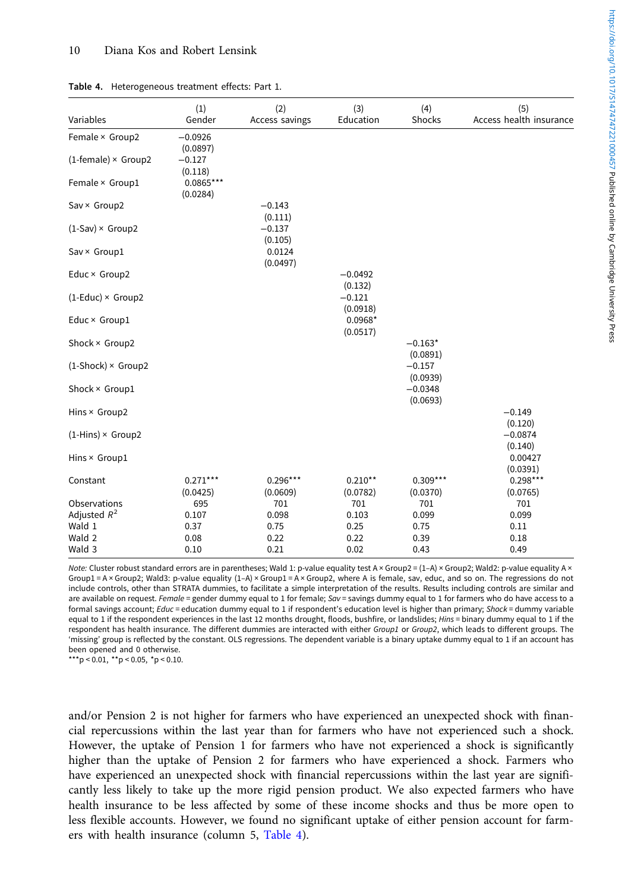| Variables                  | (1)<br>Gender           | (2)<br>Access savings  | (3)<br>Education      | (4)<br>Shocks          | (5)<br>Access health insurance |
|----------------------------|-------------------------|------------------------|-----------------------|------------------------|--------------------------------|
| Female × Group2            | $-0.0926$<br>(0.0897)   |                        |                       |                        |                                |
| $(1$ -female) × Group2     | $-0.127$<br>(0.118)     |                        |                       |                        |                                |
| Female × Group1            | $0.0865***$<br>(0.0284) |                        |                       |                        |                                |
| Sav × Group2               |                         | $-0.143$<br>(0.111)    |                       |                        |                                |
| $(1-Sav) \times Group2$    |                         | $-0.137$<br>(0.105)    |                       |                        |                                |
| Sav × Group1               |                         | 0.0124<br>(0.0497)     |                       |                        |                                |
| Educ × Group2              |                         |                        | $-0.0492$<br>(0.132)  |                        |                                |
| $(1 - Educ) \times Group2$ |                         |                        | $-0.121$<br>(0.0918)  |                        |                                |
| Educ × Group1              |                         |                        | $0.0968*$<br>(0.0517) |                        |                                |
| Shock × Group2             |                         |                        |                       | $-0.163*$<br>(0.0891)  |                                |
| $(1-Shock) \times Group2$  |                         |                        |                       | $-0.157$<br>(0.0939)   |                                |
| Shock × Group1             |                         |                        |                       | $-0.0348$<br>(0.0693)  |                                |
| Hins × Group2              |                         |                        |                       |                        | $-0.149$<br>(0.120)            |
| $(1-Hins) \times Group2$   |                         |                        |                       |                        | $-0.0874$<br>(0.140)           |
| Hins × Group1              |                         |                        |                       |                        | 0.00427<br>(0.0391)            |
| Constant                   | $0.271***$<br>(0.0425)  | $0.296***$<br>(0.0609) | $0.210**$<br>(0.0782) | $0.309***$<br>(0.0370) | $0.298***$<br>(0.0765)         |
| Observations               | 695                     | 701                    | 701                   | 701                    | 701                            |
| Adjusted $R^2$             | 0.107                   | 0.098                  | 0.103                 | 0.099                  | 0.099                          |
| Wald 1                     | 0.37                    | 0.75                   | 0.25                  | 0.75                   | 0.11                           |
| Wald 2                     | 0.08                    | 0.22                   | 0.22                  | 0.39                   | 0.18                           |
| Wald 3                     | 0.10                    | 0.21                   | 0.02                  | 0.43                   | 0.49                           |

<span id="page-9-0"></span>Table 4. Heterogeneous treatment effects: Part 1.

Note: Cluster robust standard errors are in parentheses; Wald 1: p-value equality test A × Group2 = (1-A) × Group2; Wald2: p-value equality A × Group1 = A × Group2; Wald3: p-value equality (1–A) × Group1 = A × Group2, where A is female, sav, educ, and so on. The regressions do not include controls, other than STRATA dummies, to facilitate a simple interpretation of the results. Results including controls are similar and are available on request. Female = gender dummy equal to 1 for female; Sav = savings dummy equal to 1 for farmers who do have access to a formal savings account; Educ = education dummy equal to 1 if respondent's education level is higher than primary; Shock = dummy variable equal to 1 if the respondent experiences in the last 12 months drought, floods, bushfire, or landslides; Hins = binary dummy equal to 1 if the respondent has health insurance. The different dummies are interacted with either Group1 or Group2, which leads to different groups. The 'missing' group is reflected by the constant. OLS regressions. The dependent variable is a binary uptake dummy equal to 1 if an account has been opened and 0 otherwise.

\*\*\*p < 0.01, \*\*p < 0.05, \*p < 0.10.

and/or Pension 2 is not higher for farmers who have experienced an unexpected shock with financial repercussions within the last year than for farmers who have not experienced such a shock. However, the uptake of Pension 1 for farmers who have not experienced a shock is significantly higher than the uptake of Pension 2 for farmers who have experienced a shock. Farmers who have experienced an unexpected shock with financial repercussions within the last year are significantly less likely to take up the more rigid pension product. We also expected farmers who have health insurance to be less affected by some of these income shocks and thus be more open to less flexible accounts. However, we found no significant uptake of either pension account for farmers with health insurance (column 5, Table 4).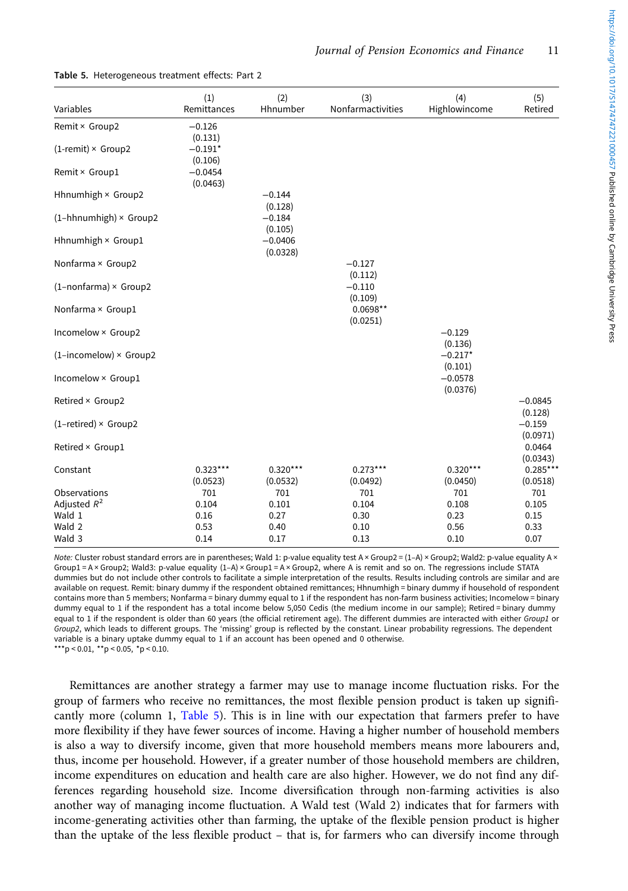| Variables                     | (1)<br>Remittances     | (2)<br>Hhnumber        | (3)<br>Nonfarmactivities | (4)<br>Highlowincome            | (5)<br>Retired                  |
|-------------------------------|------------------------|------------------------|--------------------------|---------------------------------|---------------------------------|
| Remit × Group2                | $-0.126$<br>(0.131)    |                        |                          |                                 |                                 |
| $(1$ -remit) × Group2         | $-0.191*$<br>(0.106)   |                        |                          |                                 |                                 |
| Remit × Group1                | $-0.0454$<br>(0.0463)  |                        |                          |                                 |                                 |
| Hhnumhigh × Group2            |                        | $-0.144$<br>(0.128)    |                          |                                 |                                 |
| $(1-hhnumhigh) \times Group2$ |                        | $-0.184$<br>(0.105)    |                          |                                 |                                 |
| Hhnumhigh × Group1            |                        | $-0.0406$<br>(0.0328)  |                          |                                 |                                 |
| Nonfarma × Group2             |                        |                        | $-0.127$<br>(0.112)      |                                 |                                 |
| $(1$ -nonfarma) × Group2      |                        |                        | $-0.110$<br>(0.109)      |                                 |                                 |
| Nonfarma × Group1             |                        |                        | $0.0698**$<br>(0.0251)   |                                 |                                 |
| Incomelow × Group2            |                        |                        |                          | $-0.129$                        |                                 |
| $(1-incomelow) \times Group2$ |                        |                        |                          | (0.136)<br>$-0.217*$<br>(0.101) |                                 |
| Incomelow × Group1            |                        |                        |                          | $-0.0578$<br>(0.0376)           |                                 |
| Retired × Group2              |                        |                        |                          |                                 | $-0.0845$                       |
| $(1-retired) \times Group2$   |                        |                        |                          |                                 | (0.128)<br>$-0.159$<br>(0.0971) |
| Retired × Group1              |                        |                        |                          |                                 | 0.0464<br>(0.0343)              |
| Constant                      | $0.323***$<br>(0.0523) | $0.320***$<br>(0.0532) | $0.273***$<br>(0.0492)   | $0.320***$<br>(0.0450)          | $0.285***$<br>(0.0518)          |
| Observations                  | 701                    | 701                    | 701                      | 701                             | 701                             |
| Adjusted $R^2$                | 0.104                  | 0.101                  | 0.104                    | 0.108                           | 0.105                           |
| Wald 1                        | 0.16                   | 0.27                   | 0.30                     | 0.23                            | 0.15                            |
| Wald 2                        | 0.53                   | 0.40                   | 0.10                     | 0.56                            | 0.33                            |
| Wald 3                        | 0.14                   | 0.17                   | 0.13                     | 0.10                            | 0.07                            |

Table 5. Heterogeneous treatment effects: Part 2

Note: Cluster robust standard errors are in parentheses; Wald 1: p-value equality test A × Group2 = (1-A) × Group2; Wald2: p-value equality A × Group1 = A × Group2; Wald3: p-value equality (1–A) × Group1 = A × Group2, where A is remit and so on. The regressions include STATA dummies but do not include other controls to facilitate a simple interpretation of the results. Results including controls are similar and are available on request. Remit: binary dummy if the respondent obtained remittances; Hhnumhigh = binary dummy if household of respondent contains more than 5 members; Nonfarma = binary dummy equal to 1 if the respondent has non-farm business activities; Incomelow = binary dummy equal to 1 if the respondent has a total income below 5,050 Cedis (the medium income in our sample); Retired = binary dummy equal to 1 if the respondent is older than 60 years (the official retirement age). The different dummies are interacted with either Group1 or Group2, which leads to different groups. The 'missing' group is reflected by the constant. Linear probability regressions. The dependent variable is a binary uptake dummy equal to 1 if an account has been opened and 0 otherwise.

 $k^{*}$ p < 0.01,  $k^{*}$ p < 0.05,  $k^{*}$ p < 0.10.

Remittances are another strategy a farmer may use to manage income fluctuation risks. For the group of farmers who receive no remittances, the most flexible pension product is taken up significantly more (column 1, [Table 5](#page-13-0)). This is in line with our expectation that farmers prefer to have more flexibility if they have fewer sources of income. Having a higher number of household members is also a way to diversify income, given that more household members means more labourers and, thus, income per household. However, if a greater number of those household members are children, income expenditures on education and health care are also higher. However, we do not find any differences regarding household size. Income diversification through non-farming activities is also another way of managing income fluctuation. A Wald test (Wald 2) indicates that for farmers with income-generating activities other than farming, the uptake of the flexible pension product is higher than the uptake of the less flexible product – that is, for farmers who can diversify income through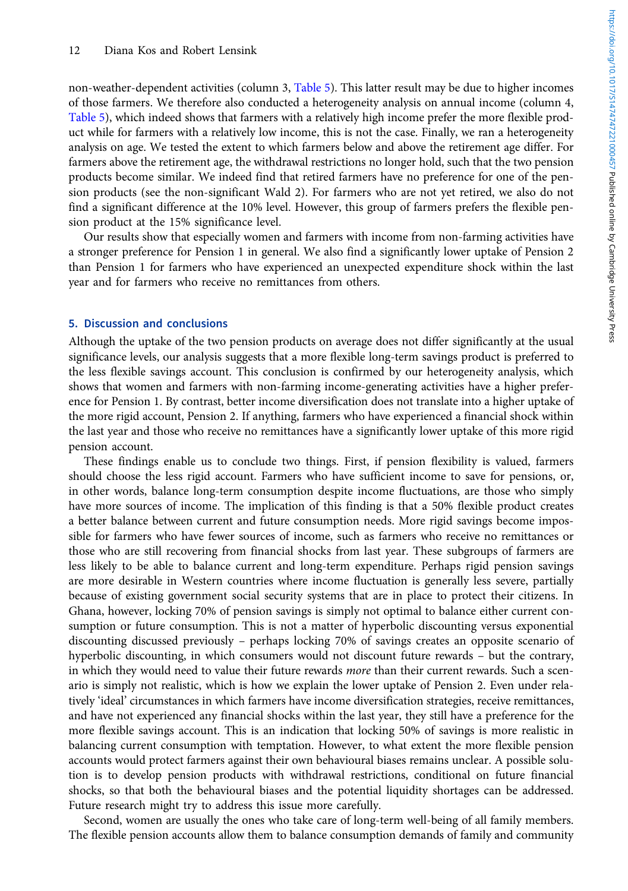non-weather-dependent activities (column 3, [Table 5\)](#page-13-0). This latter result may be due to higher incomes of those farmers. We therefore also conducted a heterogeneity analysis on annual income (column 4, [Table 5](#page-13-0)), which indeed shows that farmers with a relatively high income prefer the more flexible product while for farmers with a relatively low income, this is not the case. Finally, we ran a heterogeneity analysis on age. We tested the extent to which farmers below and above the retirement age differ. For farmers above the retirement age, the withdrawal restrictions no longer hold, such that the two pension products become similar. We indeed find that retired farmers have no preference for one of the pension products (see the non-significant Wald 2). For farmers who are not yet retired, we also do not find a significant difference at the 10% level. However, this group of farmers prefers the flexible pension product at the 15% significance level.

Our results show that especially women and farmers with income from non-farming activities have a stronger preference for Pension 1 in general. We also find a significantly lower uptake of Pension 2 than Pension 1 for farmers who have experienced an unexpected expenditure shock within the last year and for farmers who receive no remittances from others.

# 5. Discussion and conclusions

Although the uptake of the two pension products on average does not differ significantly at the usual significance levels, our analysis suggests that a more flexible long-term savings product is preferred to the less flexible savings account. This conclusion is confirmed by our heterogeneity analysis, which shows that women and farmers with non-farming income-generating activities have a higher preference for Pension 1. By contrast, better income diversification does not translate into a higher uptake of the more rigid account, Pension 2. If anything, farmers who have experienced a financial shock within the last year and those who receive no remittances have a significantly lower uptake of this more rigid pension account.

These findings enable us to conclude two things. First, if pension flexibility is valued, farmers should choose the less rigid account. Farmers who have sufficient income to save for pensions, or, in other words, balance long-term consumption despite income fluctuations, are those who simply have more sources of income. The implication of this finding is that a 50% flexible product creates a better balance between current and future consumption needs. More rigid savings become impossible for farmers who have fewer sources of income, such as farmers who receive no remittances or those who are still recovering from financial shocks from last year. These subgroups of farmers are less likely to be able to balance current and long-term expenditure. Perhaps rigid pension savings are more desirable in Western countries where income fluctuation is generally less severe, partially because of existing government social security systems that are in place to protect their citizens. In Ghana, however, locking 70% of pension savings is simply not optimal to balance either current consumption or future consumption. This is not a matter of hyperbolic discounting versus exponential discounting discussed previously – perhaps locking 70% of savings creates an opposite scenario of hyperbolic discounting, in which consumers would not discount future rewards – but the contrary, in which they would need to value their future rewards more than their current rewards. Such a scenario is simply not realistic, which is how we explain the lower uptake of Pension 2. Even under relatively 'ideal' circumstances in which farmers have income diversification strategies, receive remittances, and have not experienced any financial shocks within the last year, they still have a preference for the more flexible savings account. This is an indication that locking 50% of savings is more realistic in balancing current consumption with temptation. However, to what extent the more flexible pension accounts would protect farmers against their own behavioural biases remains unclear. A possible solution is to develop pension products with withdrawal restrictions, conditional on future financial shocks, so that both the behavioural biases and the potential liquidity shortages can be addressed. Future research might try to address this issue more carefully.

Second, women are usually the ones who take care of long-term well-being of all family members. The flexible pension accounts allow them to balance consumption demands of family and community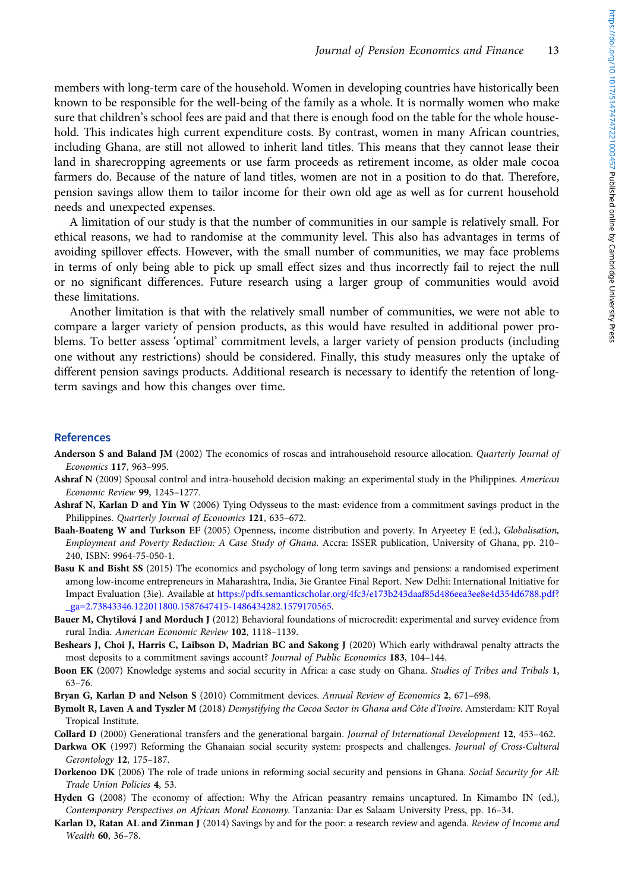<span id="page-12-0"></span>members with long-term care of the household. Women in developing countries have historically been known to be responsible for the well-being of the family as a whole. It is normally women who make sure that children's school fees are paid and that there is enough food on the table for the whole household. This indicates high current expenditure costs. By contrast, women in many African countries, including Ghana, are still not allowed to inherit land titles. This means that they cannot lease their land in sharecropping agreements or use farm proceeds as retirement income, as older male cocoa farmers do. Because of the nature of land titles, women are not in a position to do that. Therefore, pension savings allow them to tailor income for their own old age as well as for current household needs and unexpected expenses.

A limitation of our study is that the number of communities in our sample is relatively small. For ethical reasons, we had to randomise at the community level. This also has advantages in terms of avoiding spillover effects. However, with the small number of communities, we may face problems in terms of only being able to pick up small effect sizes and thus incorrectly fail to reject the null or no significant differences. Future research using a larger group of communities would avoid these limitations.

Another limitation is that with the relatively small number of communities, we were not able to compare a larger variety of pension products, as this would have resulted in additional power problems. To better assess 'optimal' commitment levels, a larger variety of pension products (including one without any restrictions) should be considered. Finally, this study measures only the uptake of different pension savings products. Additional research is necessary to identify the retention of longterm savings and how this changes over time.

# **References**

- Anderson S and Baland JM (2002) The economics of roscas and intrahousehold resource allocation. Quarterly Journal of Economics 117, 963–995.
- Ashraf N (2009) Spousal control and intra-household decision making: an experimental study in the Philippines. American Economic Review 99, 1245–1277.
- Ashraf N, Karlan D and Yin W (2006) Tying Odysseus to the mast: evidence from a commitment savings product in the Philippines. Quarterly Journal of Economics 121, 635–672.
- Baah-Boateng W and Turkson EF (2005) Openness, income distribution and poverty. In Aryeetey E (ed.), Globalisation, Employment and Poverty Reduction: A Case Study of Ghana. Accra: ISSER publication, University of Ghana, pp. 210– 240, ISBN: 9964-75-050-1.
- Basu K and Bisht SS (2015) The economics and psychology of long term savings and pensions: a randomised experiment among low-income entrepreneurs in Maharashtra, India, 3ie Grantee Final Report. New Delhi: International Initiative for Impact Evaluation (3ie). Available at [https://pdfs.semanticscholar.org/4fc3/e173b243daaf85d486eea3ee8e4d354d6788.pdf?](https://pdfs.semanticscholar.org/4fc3/e173b243daaf85d486eea3ee8e4d354d6788.pdf?_ga=2.73843346.122011800.1587647415-1486434282.1579170565) [\\_ga=2.73843346.122011800.1587647415-1486434282.1579170565](https://pdfs.semanticscholar.org/4fc3/e173b243daaf85d486eea3ee8e4d354d6788.pdf?_ga=2.73843346.122011800.1587647415-1486434282.1579170565).
- Bauer M, Chytilová J and Morduch J (2012) Behavioral foundations of microcredit: experimental and survey evidence from rural India. American Economic Review 102, 1118–1139.
- Beshears J, Choi J, Harris C, Laibson D, Madrian BC and Sakong J (2020) Which early withdrawal penalty attracts the most deposits to a commitment savings account? Journal of Public Economics 183, 104–144.
- Boon EK (2007) Knowledge systems and social security in Africa: a case study on Ghana. Studies of Tribes and Tribals 1, 63–76.
- Bryan G, Karlan D and Nelson S (2010) Commitment devices. Annual Review of Economics 2, 671-698.
- Bymolt R, Laven A and Tyszler M (2018) Demystifying the Cocoa Sector in Ghana and Côte d'Ivoire. Amsterdam: KIT Royal Tropical Institute.
- Collard D (2000) Generational transfers and the generational bargain. Journal of International Development 12, 453–462.
- Darkwa OK (1997) Reforming the Ghanaian social security system: prospects and challenges. Journal of Cross-Cultural Gerontology 12, 175–187.
- Dorkenoo DK (2006) The role of trade unions in reforming social security and pensions in Ghana. Social Security for All: Trade Union Policies 4, 53.
- Hyden G (2008) The economy of affection: Why the African peasantry remains uncaptured. In Kimambo IN (ed.), Contemporary Perspectives on African Moral Economy. Tanzania: Dar es Salaam University Press, pp. 16–34.
- Karlan D, Ratan AL and Zinman J (2014) Savings by and for the poor: a research review and agenda. Review of Income and Wealth 60, 36–78.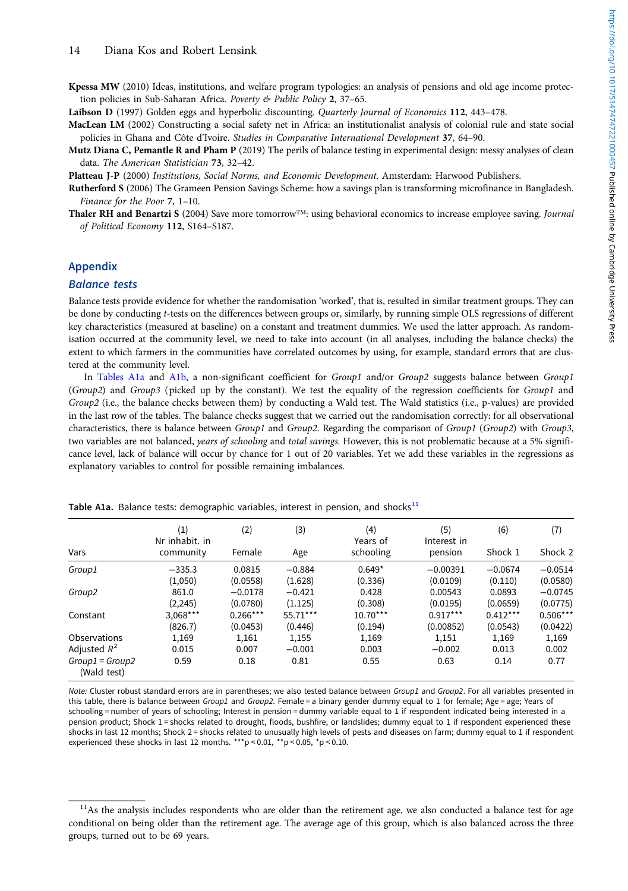<span id="page-13-0"></span>Kpessa MW (2010) Ideas, institutions, and welfare program typologies: an analysis of pensions and old age income protection policies in Sub-Saharan Africa. Poverty & Public Policy 2, 37–65.

Laibson D (1997) Golden eggs and hyperbolic discounting. Quarterly Journal of Economics 112, 443–478.

- MacLean LM (2002) Constructing a social safety net in Africa: an institutionalist analysis of colonial rule and state social policies in Ghana and Côte d'Ivoire. Studies in Comparative International Development 37, 64–90.
- Mutz Diana C, Pemantle R and Pham P (2019) The perils of balance testing in experimental design: messy analyses of clean data. The American Statistician 73, 32–42.

Platteau J-P (2000) Institutions, Social Norms, and Economic Development. Amsterdam: Harwood Publishers.

- Rutherford S (2006) The Grameen Pension Savings Scheme: how a savings plan is transforming microfinance in Bangladesh. Finance for the Poor 7, 1–10.
- Thaler RH and Benartzi S (2004) Save more tomorrow™: using behavioral economics to increase employee saving. Journal of Political Economy 112, S164–S187.

## Appendix

#### Balance tests

Balance tests provide evidence for whether the randomisation 'worked', that is, resulted in similar treatment groups. They can be done by conducting t-tests on the differences between groups or, similarly, by running simple OLS regressions of different key characteristics (measured at baseline) on a constant and treatment dummies. We used the latter approach. As randomisation occurred at the community level, we need to take into account (in all analyses, including the balance checks) the extent to which farmers in the communities have correlated outcomes by using, for example, standard errors that are clustered at the community level.

In Tables A1a and [A1b](#page-14-0), a non-significant coefficient for Group1 and/or Group2 suggests balance between Group1 (Group2) and Group3 (picked up by the constant). We test the equality of the regression coefficients for Group1 and Group2 (i.e., the balance checks between them) by conducting a Wald test. The Wald statistics (i.e., p-values) are provided in the last row of the tables. The balance checks suggest that we carried out the randomisation correctly: for all observational characteristics, there is balance between Group1 and Group2. Regarding the comparison of Group1 (Group2) with Group3, two variables are not balanced, years of schooling and total savings. However, this is not problematic because at a 5% significance level, lack of balance will occur by chance for 1 out of 20 variables. Yet we add these variables in the regressions as explanatory variables to control for possible remaining imbalances.

| Vars                             | (1)<br>Nr inhabit, in<br>community | (2)<br>Female | (3)<br>Age | (4)<br>Years of<br>schooling | (5)<br>Interest in<br>pension | (6)<br>Shock 1 | (7)<br>Shock 2 |
|----------------------------------|------------------------------------|---------------|------------|------------------------------|-------------------------------|----------------|----------------|
|                                  |                                    |               |            |                              |                               |                |                |
| Group1                           | $-335.3$                           | 0.0815        | $-0.884$   | $0.649*$                     | $-0.00391$                    | $-0.0674$      | $-0.0514$      |
|                                  | (1,050)                            | (0.0558)      | (1.628)    | (0.336)                      | (0.0109)                      | (0.110)        | (0.0580)       |
| Group2                           | 861.0                              | $-0.0178$     | $-0.421$   | 0.428                        | 0.00543                       | 0.0893         | $-0.0745$      |
|                                  | (2, 245)                           | (0.0780)      | (1.125)    | (0.308)                      | (0.0195)                      | (0.0659)       | (0.0775)       |
| Constant                         | $3,068***$                         | $0.266***$    | 55.71***   | $10.70***$                   | $0.917***$                    | $0.412***$     | $0.506***$     |
|                                  | (826.7)                            | (0.0453)      | (0.446)    | (0.194)                      | (0.00852)                     | (0.0543)       | (0.0422)       |
| Observations                     | 1,169                              | 1,161         | 1,155      | 1,169                        | 1,151                         | 1,169          | 1,169          |
| Adjusted $R^2$                   | 0.015                              | 0.007         | $-0.001$   | 0.003                        | $-0.002$                      | 0.013          | 0.002          |
| $Group1 = Group2$<br>(Wald test) | 0.59                               | 0.18          | 0.81       | 0.55                         | 0.63                          | 0.14           | 0.77           |

Table A1a. Balance tests: demographic variables, interest in pension, and shocks $^{11}$ 

Note: Cluster robust standard errors are in parentheses; we also tested balance between Group1 and Group2. For all variables presented in this table, there is balance between Group1 and Group2. Female = a binary gender dummy equal to 1 for female; Age = age; Years of schooling = number of years of schooling; Interest in pension = dummy variable equal to 1 if respondent indicated being interested in a pension product; Shock 1 = shocks related to drought, floods, bushfire, or landslides; dummy equal to 1 if respondent experienced these shocks in last 12 months; Shock 2 = shocks related to unusually high levels of pests and diseases on farm; dummy equal to 1 if respondent experienced these shocks in last 12 months. \*\*\*p < 0.01, \*\*p < 0.05, \*p < 0.10.

 $11$ As the analysis includes respondents who are older than the retirement age, we also conducted a balance test for age conditional on being older than the retirement age. The average age of this group, which is also balanced across the three groups, turned out to be 69 years.